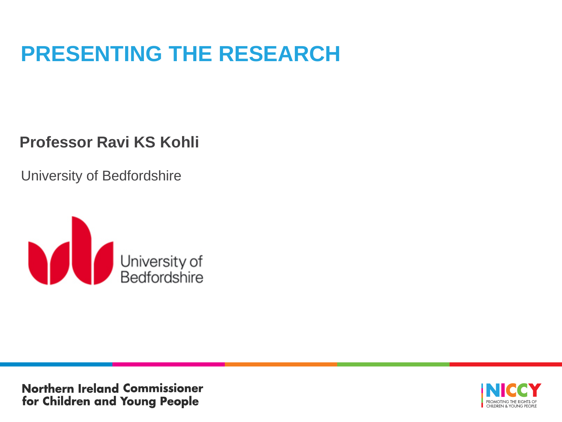## **PRESENTING THE RESEARCH**

### **Professor Ravi KS Kohli**

University of Bedfordshire



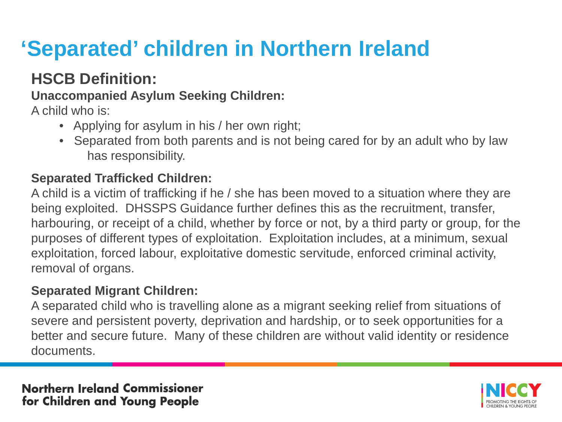# **'Separated' children in Northern Ireland**

### **HSCB Definition:**

#### **Unaccompanied Asylum Seeking Children:**

A child who is:

- Applying for asylum in his / her own right;
- Separated from both parents and is not being cared for by an adult who by law has responsibility.

#### **Separated Trafficked Children:**

A child is a victim of trafficking if he / she has been moved to a situation where they are being exploited. DHSSPS Guidance further defines this as the recruitment, transfer, harbouring, or receipt of a child, whether by force or not, by a third party or group, for the purposes of different types of exploitation. Exploitation includes, at a minimum, sexual exploitation, forced labour, exploitative domestic servitude, enforced criminal activity, removal of organs.

#### **Separated Migrant Children:**

A separated child who is travelling alone as a migrant seeking relief from situations of severe and persistent poverty, deprivation and hardship, or to seek opportunities for a better and secure future. Many of these children are without valid identity or residence documents.

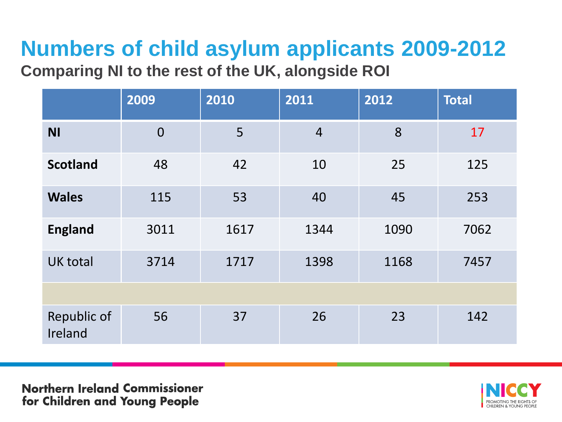# **Numbers of child asylum applicants 2009-2012**

**Comparing NI to the rest of the UK, alongside ROI** 

|                        | 2009           | 2010 | 2011           | 2012 | <b>Total</b> |  |
|------------------------|----------------|------|----------------|------|--------------|--|
| <b>NI</b>              | $\overline{0}$ | 5    | $\overline{4}$ | 8    | 17           |  |
| <b>Scotland</b>        | 48             | 42   | 10             | 25   | 125          |  |
| <b>Wales</b>           | 115            | 53   | 40             | 45   | 253          |  |
| <b>England</b>         | 3011           | 1617 | 1344           | 1090 | 7062         |  |
| <b>UK total</b>        | 3714           | 1717 | 1398           | 1168 | 7457         |  |
|                        |                |      |                |      |              |  |
| Republic of<br>Ireland | 56             | 37   | 26             | 23   | 142          |  |

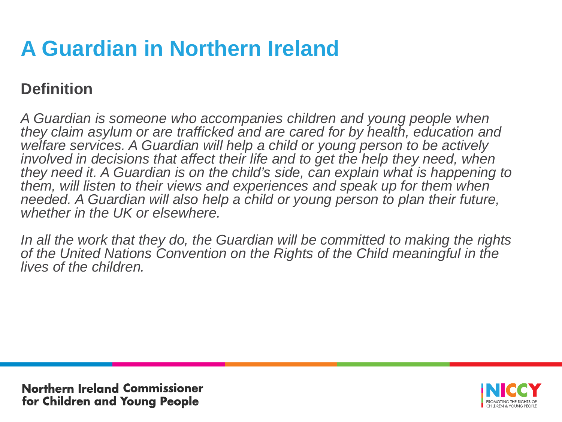# **A Guardian in Northern Ireland**

### **Definition**

*A Guardian is someone who accompanies children and young people when they claim asylum or are trafficked and are cared for by health, education and welfare services. A Guardian will help a child or young person to be actively*  involved in decisions that affect their life and to get the help they need, when *they need it. A Guardian is on the child's side, can explain what is happening to them, will listen to their views and experiences and speak up for them when*  needed. A Guardian will also help a child or young person to plan their future, *whether in the UK or elsewhere.* 

*In all the work that they do, the Guardian will be committed to making the rights of the United Nations Convention on the Rights of the Child meaningful in the lives of the children.*

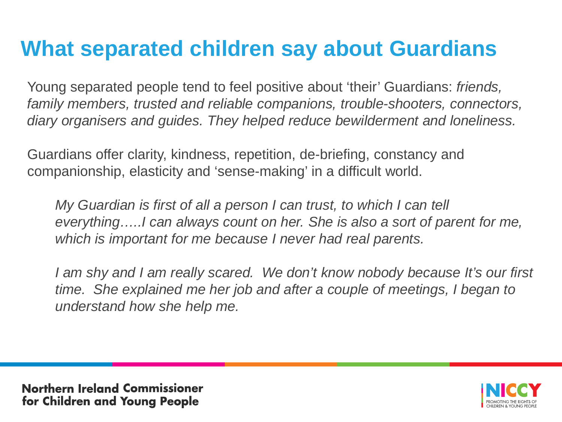## **What separated children say about Guardians**

Young separated people tend to feel positive about 'their' Guardians: *friends, family members, trusted and reliable companions, trouble-shooters, connectors, diary organisers and guides. They helped reduce bewilderment and loneliness.* 

Guardians offer clarity, kindness, repetition, de-briefing, constancy and companionship, elasticity and 'sense-making' in a difficult world.

*My Guardian is first of all a person I can trust, to which I can tell everything…..I can always count on her. She is also a sort of parent for me, which is important for me because I never had real parents.* 

*I am shy and I am really scared. We don't know nobody because It's our first time.* She explained me her job and after a couple of meetings, I began to *understand how she help me.* 

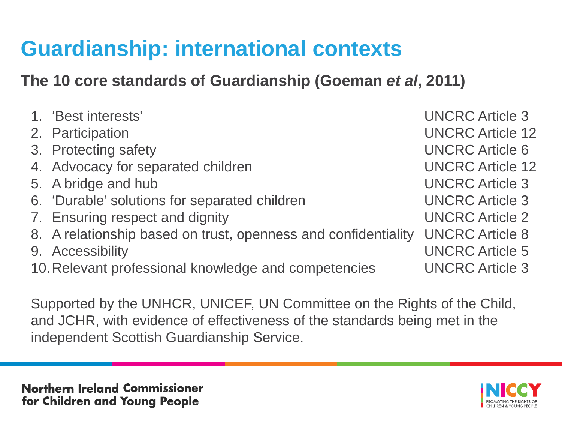## **Guardianship: international contexts**

### **The 10 core standards of Guardianship (Goeman** *et al***, 2011)**

Supported by the UNHCR, UNICEF, UN Committee on the Rights of the Child, and JCHR, with evidence of effectiveness of the standards being met in the independent Scottish Guardianship Service.

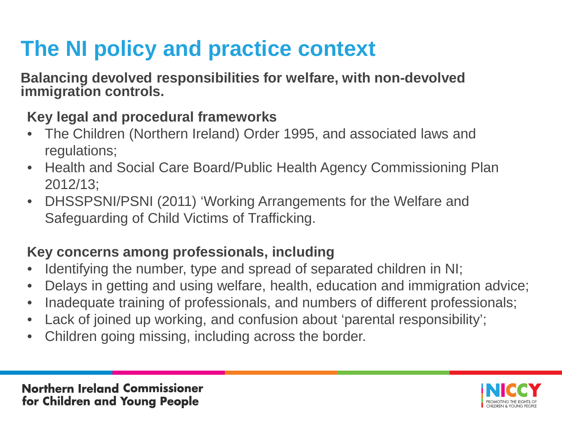# **The NI policy and practice context**

**Balancing devolved responsibilities for welfare, with non-devolved immigration controls.**

### **Key legal and procedural frameworks**

- The Children (Northern Ireland) Order 1995, and associated laws and regulations;
- Health and Social Care Board/Public Health Agency Commissioning Plan 2012/13;
- DHSSPSNI/PSNI (2011) 'Working Arrangements for the Welfare and Safeguarding of Child Victims of Trafficking.

### **Key concerns among professionals, including**

- Identifying the number, type and spread of separated children in NI;
- Delays in getting and using welfare, health, education and immigration advice;
- Inadequate training of professionals, and numbers of different professionals;
- Lack of joined up working, and confusion about 'parental responsibility';
- Children going missing, including across the border.

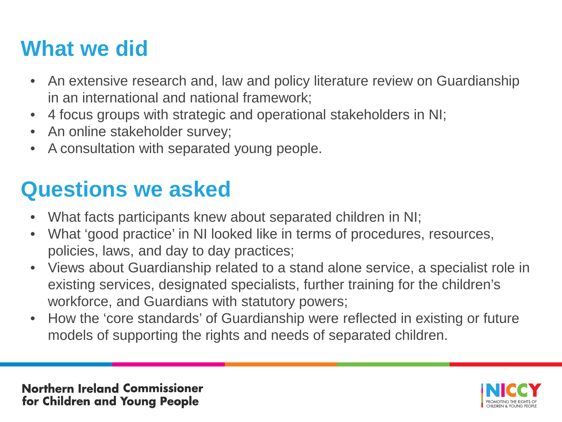## **What we did**

- An extensive research and, law and policy literature review on Guardianship in an international and national framework;
- 4 focus groups with strategic and operational stakeholders in NI;
- An online stakeholder survey;
- A consultation with separated young people.

## **Questions we asked**

- What facts participants knew about separated children in NI;
- What 'good practice' in NI looked like in terms of procedures, resources, policies, laws, and day to day practices;
- Views about Guardianship related to a stand alone service, a specialist role in existing services, designated specialists, further training for the children's workforce, and Guardians with statutory powers;
- How the 'core standards' of Guardianship were reflected in existing or future models of supporting the rights and needs of separated children.

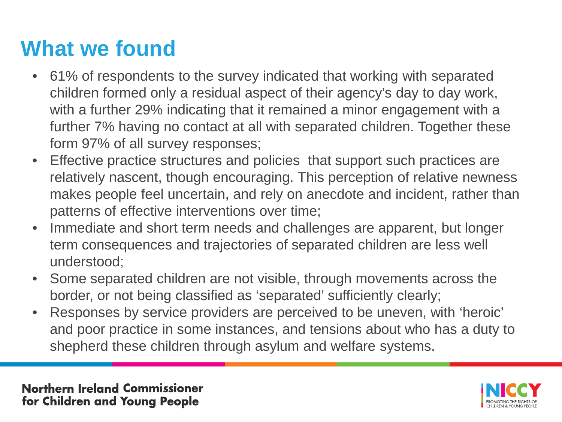## **What we found**

- 61% of respondents to the survey indicated that working with separated children formed only a residual aspect of their agency's day to day work, with a further 29% indicating that it remained a minor engagement with a further 7% having no contact at all with separated children. Together these form 97% of all survey responses;
- Effective practice structures and policies that support such practices are relatively nascent, though encouraging. This perception of relative newness makes people feel uncertain, and rely on anecdote and incident, rather than patterns of effective interventions over time;
- Immediate and short term needs and challenges are apparent, but longer term consequences and trajectories of separated children are less well understood;
- Some separated children are not visible, through movements across the border, or not being classified as 'separated' sufficiently clearly;
- Responses by service providers are perceived to be uneven, with 'heroic' and poor practice in some instances, and tensions about who has a duty to shepherd these children through asylum and welfare systems.

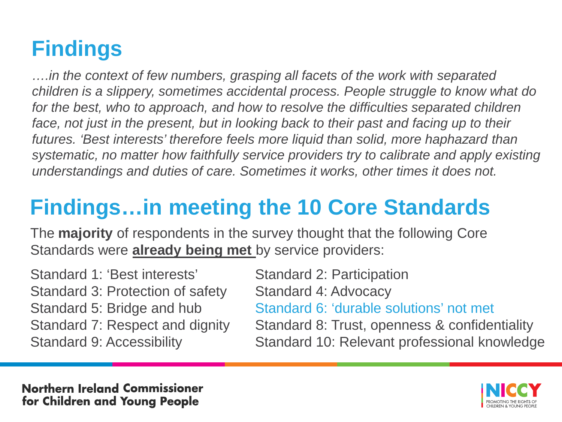# **Findings**

*….in the context of few numbers, grasping all facets of the work with separated children is a slippery, sometimes accidental process. People struggle to know what do for the best, who to approach, and how to resolve the difficulties separated children*  face, not just in the present, but in looking back to their past and facing up to their *futures. 'Best interests' therefore feels more liquid than solid, more haphazard than systematic, no matter how faithfully service providers try to calibrate and apply existing understandings and duties of care. Sometimes it works, other times it does not.* 

# **Findings…in meeting the 10 Core Standards**

The **majority** of respondents in the survey thought that the following Core Standards were **already being met** by service providers:

| Standard 1: 'Best interests'     | <b>Standard 2: Participation</b>              |
|----------------------------------|-----------------------------------------------|
| Standard 3: Protection of safety | Standard 4: Advocacy                          |
| Standard 5: Bridge and hub       | Standard 6: 'durable solutions' not met       |
| Standard 7: Respect and dignity  | Standard 8: Trust, openness & confidentiality |
| <b>Standard 9: Accessibility</b> | Standard 10: Relevant professional knowledge  |
|                                  |                                               |

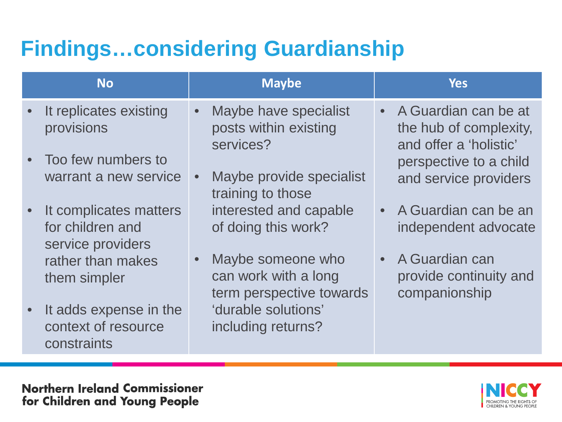# **Findings…considering Guardianship**

| <b>No</b>                                                       | <b>Maybe</b>                                                                       | <b>Yes</b>                                                                            |
|-----------------------------------------------------------------|------------------------------------------------------------------------------------|---------------------------------------------------------------------------------------|
| It replicates existing<br>provisions                            | Maybe have specialist<br>$\bullet$<br>posts within existing<br>services?           | A Guardian can be at<br>$\bullet$<br>the hub of complexity,<br>and offer a 'holistic' |
| Too few numbers to<br>warrant a new service                     | Maybe provide specialist<br>$\bullet$<br>training to those                         | perspective to a child<br>and service providers                                       |
| It complicates matters<br>for children and<br>service providers | interested and capable<br>of doing this work?                                      | • A Guardian can be an<br>independent advocate                                        |
| rather than makes<br>them simpler                               | Maybe someone who<br>$\bullet$<br>can work with a long<br>term perspective towards | A Guardian can<br>$\bullet$<br>provide continuity and<br>companionship                |
| It adds expense in the<br>context of resource<br>constraints    | 'durable solutions'<br>including returns?                                          |                                                                                       |

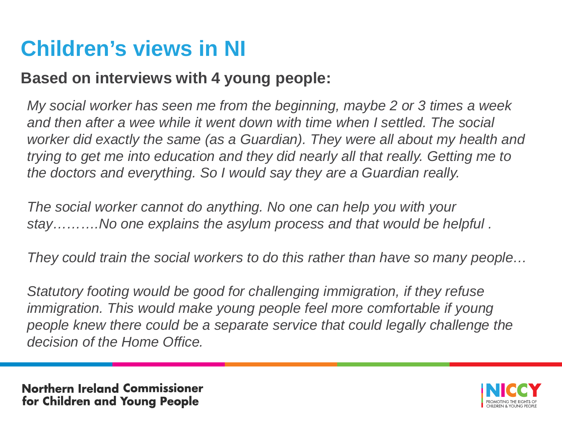## **Children's views in NI**

### **Based on interviews with 4 young people:**

*My social worker has seen me from the beginning, maybe 2 or 3 times a week*  and then after a wee while it went down with time when I settled. The social *worker did exactly the same (as a Guardian). They were all about my health and trying to get me into education and they did nearly all that really. Getting me to the doctors and everything. So I would say they are a Guardian really.* 

*The social worker cannot do anything. No one can help you with your stay……….No one explains the asylum process and that would be helpful .*

*They could train the social workers to do this rather than have so many people…*

*Statutory footing would be good for challenging immigration, if they refuse immigration. This would make young people feel more comfortable if young people knew there could be a separate service that could legally challenge the decision of the Home Office.* 

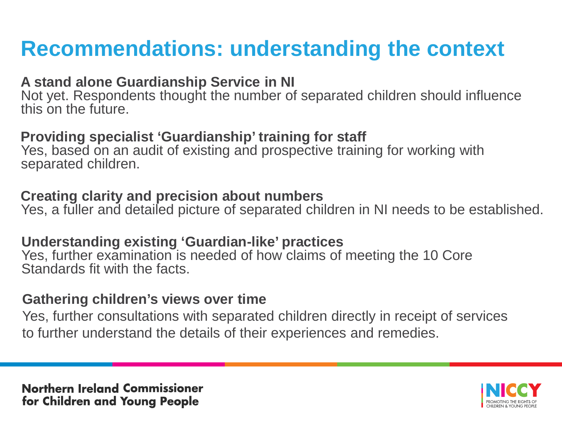## **Recommendations: understanding the context**

#### **A stand alone Guardianship Service in NI**

Not yet. Respondents thought the number of separated children should influence this on the future.

#### **Providing specialist 'Guardianship' training for staff**

Yes, based on an audit of existing and prospective training for working with separated children.

#### **Creating clarity and precision about numbers**

Yes, a fuller and detailed picture of separated children in NI needs to be established.

#### **Understanding existing 'Guardian-like' practices**

Yes, further examination is needed of how claims of meeting the 10 Core Standards fit with the facts.

#### **Gathering children's views over time**

Yes, further consultations with separated children directly in receipt of services to further understand the details of their experiences and remedies.